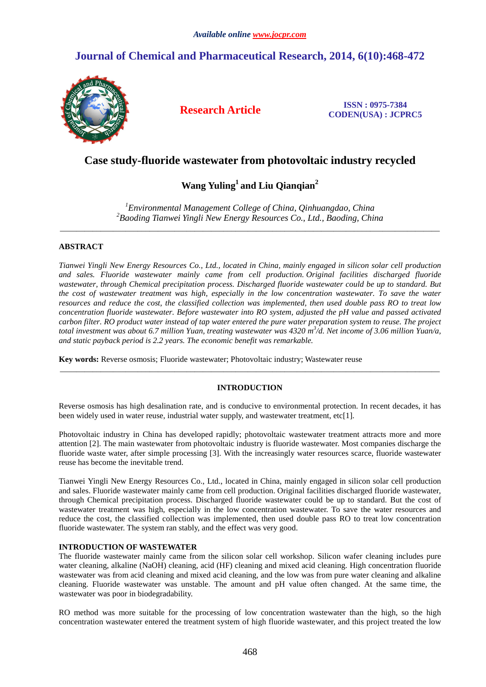# **Journal of Chemical and Pharmaceutical Research, 2014, 6(10):468-472**



**Research Article ISSN : 0975-7384 CODEN(USA) : JCPRC5**

# **Case study-fluoride wastewater from photovoltaic industry recycled**

# **Wang Yuling<sup>1</sup>and Liu Qianqian<sup>2</sup>**

*<sup>1</sup>Environmental Management College of China, Qinhuangdao, China <sup>2</sup>Baoding Tianwei Yingli New Energy Resources Co., Ltd., Baoding, China*  \_\_\_\_\_\_\_\_\_\_\_\_\_\_\_\_\_\_\_\_\_\_\_\_\_\_\_\_\_\_\_\_\_\_\_\_\_\_\_\_\_\_\_\_\_\_\_\_\_\_\_\_\_\_\_\_\_\_\_\_\_\_\_\_\_\_\_\_\_\_\_\_\_\_\_\_\_\_\_\_\_\_\_\_\_\_\_\_\_\_\_\_\_

# **ABSTRACT**

*Tianwei Yingli New Energy Resources Co., Ltd., located in China, mainly engaged in silicon solar cell production and sales. Fluoride wastewater mainly came from cell production. Original facilities discharged fluoride wastewater, through Chemical precipitation process. Discharged fluoride wastewater could be up to standard. But the cost of wastewater treatment was high, especially in the low concentration wastewater. To save the water resources and reduce the cost, the classified collection was implemented, then used double pass RO to treat low concentration fluoride wastewater. Before wastewater into RO system, adjusted the pH value and passed activated carbon filter. RO product water instead of tap water entered the pure water preparation system to reuse. The project total investment was about 6.7 million Yuan, treating wastewater was 4320 m<sup>3</sup> /d. Net income of 3.06 million Yuan/a, and static payback period is 2.2 years. The economic benefit was remarkable.* 

**Key words:** Reverse osmosis; Fluoride wastewater; Photovoltaic industry; Wastewater reuse

# **INTRODUCTION**

\_\_\_\_\_\_\_\_\_\_\_\_\_\_\_\_\_\_\_\_\_\_\_\_\_\_\_\_\_\_\_\_\_\_\_\_\_\_\_\_\_\_\_\_\_\_\_\_\_\_\_\_\_\_\_\_\_\_\_\_\_\_\_\_\_\_\_\_\_\_\_\_\_\_\_\_\_\_\_\_\_\_\_\_\_\_\_\_\_\_\_\_\_

Reverse osmosis has high desalination rate, and is conducive to environmental protection. In recent decades, it has been widely used in water reuse, industrial water supply, and wastewater treatment, etc[1].

Photovoltaic industry in China has developed rapidly; photovoltaic wastewater treatment attracts more and more attention [2]. The main wastewater from photovoltaic industry is fluoride wastewater. Most companies discharge the fluoride waste water, after simple processing [3]. With the increasingly water resources scarce, fluoride wastewater reuse has become the inevitable trend.

Tianwei Yingli New Energy Resources Co., Ltd., located in China, mainly engaged in silicon solar cell production and sales. Fluoride wastewater mainly came from cell production. Original facilities discharged fluoride wastewater, through Chemical precipitation process. Discharged fluoride wastewater could be up to standard. But the cost of wastewater treatment was high, especially in the low concentration wastewater. To save the water resources and reduce the cost, the classified collection was implemented, then used double pass RO to treat low concentration fluoride wastewater. The system ran stably, and the effect was very good.

# **INTRODUCTION OF WASTEWATER**

The fluoride wastewater mainly came from the silicon solar cell workshop. Silicon wafer cleaning includes pure water cleaning, alkaline (NaOH) cleaning, acid (HF) cleaning and mixed acid cleaning. High concentration fluoride wastewater was from acid cleaning and mixed acid cleaning, and the low was from pure water cleaning and alkaline cleaning. Fluoride wastewater was unstable. The amount and pH value often changed. At the same time, the wastewater was poor in biodegradability.

RO method was more suitable for the processing of low concentration wastewater than the high, so the high concentration wastewater entered the treatment system of high fluoride wastewater, and this project treated the low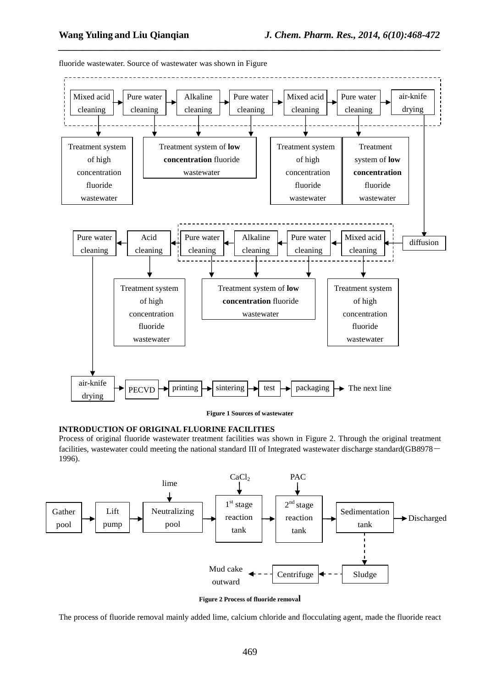

*\_\_\_\_\_\_\_\_\_\_\_\_\_\_\_\_\_\_\_\_\_\_\_\_\_\_\_\_\_\_\_\_\_\_\_\_\_\_\_\_\_\_\_\_\_\_\_\_\_\_\_\_\_\_\_\_\_\_\_\_\_\_\_\_\_\_\_\_\_\_\_\_\_\_\_\_\_\_*

fluoride wastewater. Source of wastewater was shown in Figure

**Figure 1 Sources of wastewater** 

#### **INTRODUCTION OF ORIGINAL FLUORINE FACILITIES**

Process of original fluoride wastewater treatment facilities was shown in Figure 2. Through the original treatment facilities, wastewater could meeting the national standard III of Integrated wastewater discharge standard(GB8978- 1996).



**Figure 2 Process of fluoride removal** 

The process of fluoride removal mainly added lime, calcium chloride and flocculating agent, made the fluoride react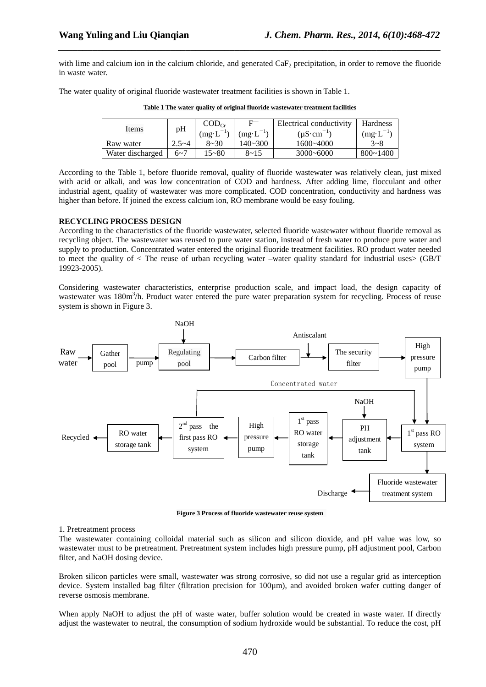with lime and calcium ion in the calcium chloride, and generated CaF<sub>2</sub> precipitation, in order to remove the fluoride in waste water.

*\_\_\_\_\_\_\_\_\_\_\_\_\_\_\_\_\_\_\_\_\_\_\_\_\_\_\_\_\_\_\_\_\_\_\_\_\_\_\_\_\_\_\_\_\_\_\_\_\_\_\_\_\_\_\_\_\_\_\_\_\_\_\_\_\_\_\_\_\_\_\_\_\_\_\_\_\_\_*

The water quality of original fluoride wastewater treatment facilities is shown in Table 1.

| Items            | pH        | $\text{COD}_{\text{Cr}}$ | Electrical conductivity        |                | Hardness     |
|------------------|-----------|--------------------------|--------------------------------|----------------|--------------|
|                  |           | (mg∙L                    | $m\mathbf{g} \cdot \mathbf{L}$ | $(uS\cdot cm)$ | mg·L         |
| Raw water        | $2.5 - 4$ | $8 - 30$                 | 140~300                        | 1600~4000      | $3 - 8$      |
| Water discharged | $6 - 7$   | $15 - 80$                | $8 - 15$                       | $3000 - 6000$  | $800 - 1400$ |

**Table 1 The water quality of original fluoride wastewater treatment facilities** 

According to the Table 1, before fluoride removal, quality of fluoride wastewater was relatively clean, just mixed with acid or alkali, and was low concentration of COD and hardness. After adding lime, flocculant and other industrial agent, quality of wastewater was more complicated. COD concentration, conductivity and hardness was higher than before. If joined the excess calcium ion, RO membrane would be easy fouling.

# **RECYCLING PROCESS DESIGN**

According to the characteristics of the fluoride wastewater, selected fluoride wastewater without fluoride removal as recycling object. The wastewater was reused to pure water station, instead of fresh water to produce pure water and supply to production. Concentrated water entered the original fluoride treatment facilities. RO product water needed to meet the quality of < The reuse of urban recycling water –water quality standard for industrial uses> (GB/T 19923-2005).

Considering wastewater characteristics, enterprise production scale, and impact load, the design capacity of wastewater was 180m<sup>3</sup>/h. Product water entered the pure water preparation system for recycling. Process of reuse system is shown in Figure 3.



**Figure 3 Process of fluoride wastewater reuse system** 

## 1. Pretreatment process

The wastewater containing colloidal material such as silicon and silicon dioxide, and pH value was low, so wastewater must to be pretreatment. Pretreatment system includes high pressure pump, pH adjustment pool, Carbon filter, and NaOH dosing device.

Broken silicon particles were small, wastewater was strong corrosive, so did not use a regular grid as interception device. System installed bag filter (filtration precision for 100 $\mu$ m), and avoided broken wafer cutting danger of reverse osmosis membrane.

When apply NaOH to adjust the pH of waste water, buffer solution would be created in waste water. If directly adjust the wastewater to neutral, the consumption of sodium hydroxide would be substantial. To reduce the cost, pH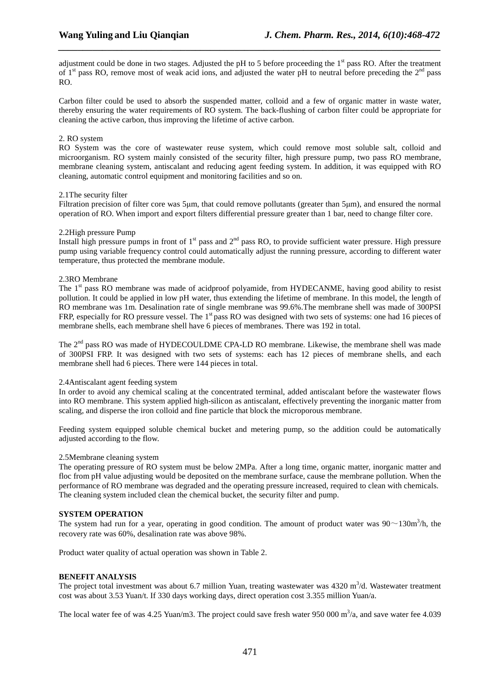adjustment could be done in two stages. Adjusted the pH to 5 before proceeding the  $1<sup>st</sup>$  pass RO. After the treatment of  $1<sup>st</sup>$  pass RO, remove most of weak acid ions, and adjusted the water pH to neutral before preceding the  $2<sup>nd</sup>$  pass RO.

*\_\_\_\_\_\_\_\_\_\_\_\_\_\_\_\_\_\_\_\_\_\_\_\_\_\_\_\_\_\_\_\_\_\_\_\_\_\_\_\_\_\_\_\_\_\_\_\_\_\_\_\_\_\_\_\_\_\_\_\_\_\_\_\_\_\_\_\_\_\_\_\_\_\_\_\_\_\_*

Carbon filter could be used to absorb the suspended matter, colloid and a few of organic matter in waste water, thereby ensuring the water requirements of RO system. The back-flushing of carbon filter could be appropriate for cleaning the active carbon, thus improving the lifetime of active carbon.

## 2. RO system

RO System was the core of wastewater reuse system, which could remove most soluble salt, colloid and microorganism. RO system mainly consisted of the security filter, high pressure pump, two pass RO membrane, membrane cleaning system, antiscalant and reducing agent feeding system. In addition, it was equipped with RO cleaning, automatic control equipment and monitoring facilities and so on.

#### 2.1The security filter

Filtration precision of filter core was 5µm, that could remove pollutants (greater than 5µm), and ensured the normal operation of RO. When import and export filters differential pressure greater than 1 bar, need to change filter core.

#### 2.2High pressure Pump

Install high pressure pumps in front of  $1<sup>st</sup>$  pass and  $2<sup>nd</sup>$  pass RO, to provide sufficient water pressure. High pressure pump using variable frequency control could automatically adjust the running pressure, according to different water temperature, thus protected the membrane module.

#### 2.3RO Membrane

The 1<sup>st</sup> pass RO membrane was made of acidproof polyamide, from HYDECANME, having good ability to resist pollution. It could be applied in low pH water, thus extending the lifetime of membrane. In this model, the length of RO membrane was 1m. Desalination rate of single membrane was 99.6%.The membrane shell was made of 300PSI FRP, especially for RO pressure vessel. The 1<sup>st</sup> pass RO was designed with two sets of systems: one had 16 pieces of membrane shells, each membrane shell have 6 pieces of membranes. There was 192 in total.

The 2<sup>nd</sup> pass RO was made of HYDECOULDME CPA-LD RO membrane. Likewise, the membrane shell was made of 300PSI FRP. It was designed with two sets of systems: each has 12 pieces of membrane shells, and each membrane shell had 6 pieces. There were 144 pieces in total.

## 2.4Antiscalant agent feeding system

In order to avoid any chemical scaling at the concentrated terminal, added antiscalant before the wastewater flows into RO membrane. This system applied high-silicon as antiscalant, effectively preventing the inorganic matter from scaling, and disperse the iron colloid and fine particle that block the microporous membrane.

Feeding system equipped soluble chemical bucket and metering pump, so the addition could be automatically adjusted according to the flow.

#### 2.5Membrane cleaning system

The operating pressure of RO system must be below 2MPa. After a long time, organic matter, inorganic matter and floc from pH value adjusting would be deposited on the membrane surface, cause the membrane pollution. When the performance of RO membrane was degraded and the operating pressure increased, required to clean with chemicals. The cleaning system included clean the chemical bucket, the security filter and pump.

## **SYSTEM OPERATION**

The system had run for a year, operating in good condition. The amount of product water was  $90\sim130\text{m}^3/\text{h}$ , the recovery rate was 60%, desalination rate was above 98%.

Product water quality of actual operation was shown in Table 2.

## **BENEFIT ANALYSIS**

The project total investment was about 6.7 million Yuan, treating wastewater was  $4320 \text{ m}^3/\text{d}$ . Wastewater treatment cost was about 3.53 Yuan/t. If 330 days working days, direct operation cost 3.355 million Yuan/a.

The local water fee of was 4.25 Yuan/m3. The project could save fresh water 950 000  $\text{m}^3$ /a, and save water fee 4.039